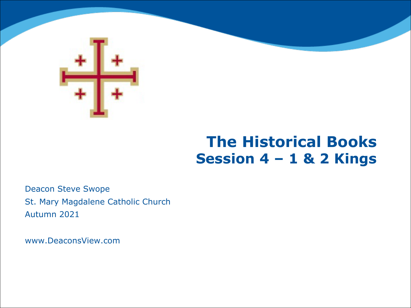

# **The Historical Books Session 4 – 1 & 2 Kings**

Deacon Steve Swope St. Mary Magdalene Catholic Church Autumn 2021

www.DeaconsView.com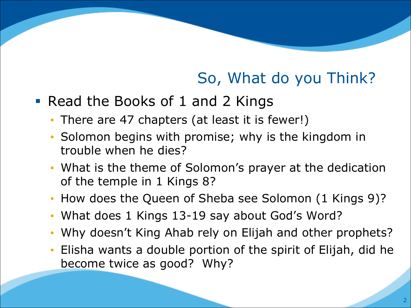# So, What do you Think?

- Read the Books of 1 and 2 Kings
	- There are 47 chapters (at least it is fewer!)
	- Solomon begins with promise; why is the kingdom in trouble when he dies?
	- What is the theme of Solomon's prayer at the dedication of the temple in 1 Kings 8?
	- How does the Queen of Sheba see Solomon (1 Kings 9)?
	- What does 1 Kings 13-19 say about God's Word?
	- Why doesn't King Ahab rely on Elijah and other prophets?
	- Elisha wants a double portion of the spirit of Elijah, did he become twice as good? Why?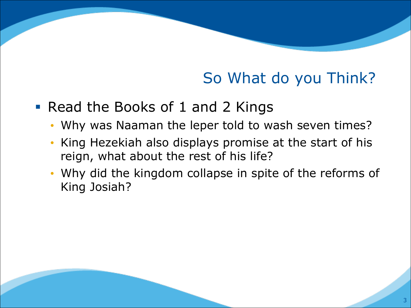# So What do you Think?

- Read the Books of 1 and 2 Kings
	- Why was Naaman the leper told to wash seven times?
	- King Hezekiah also displays promise at the start of his reign, what about the rest of his life?
	- Why did the kingdom collapse in spite of the reforms of King Josiah?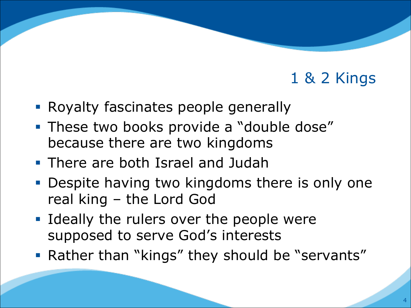- **Royalty fascinates people generally**
- **These two books provide a "double dose"** because there are two kingdoms
- § There are both Israel and Judah
- Despite having two kingdoms there is only one real king – the Lord God
- Ideally the rulers over the people were supposed to serve God's interests
- Rather than "kings" they should be "servants"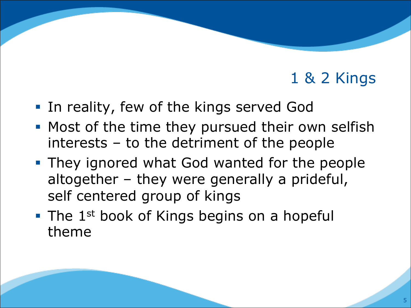- In reality, few of the kings served God
- Most of the time they pursued their own selfish interests – to the detriment of the people
- **They ignored what God wanted for the people** altogether – they were generally a prideful, self centered group of kings
- $\blacksquare$  The 1<sup>st</sup> book of Kings begins on a hopeful theme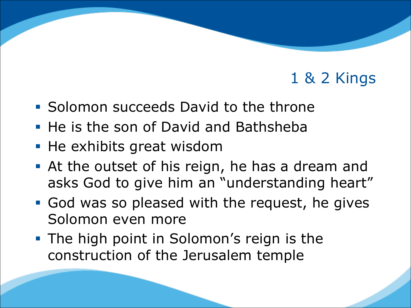- § Solomon succeeds David to the throne
- He is the son of David and Bathsheba
- He exhibits great wisdom
- At the outset of his reign, he has a dream and asks God to give him an "understanding heart"
- § God was so pleased with the request, he gives Solomon even more
- The high point in Solomon's reign is the construction of the Jerusalem temple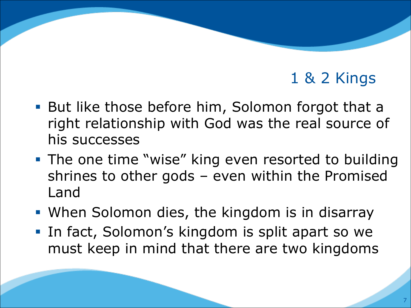- But like those before him, Solomon forgot that a right relationship with God was the real source of his successes
- **The one time "wise" king even resorted to building** shrines to other gods – even within the Promised Land
- When Solomon dies, the kingdom is in disarray
- In fact, Solomon's kingdom is split apart so we must keep in mind that there are two kingdoms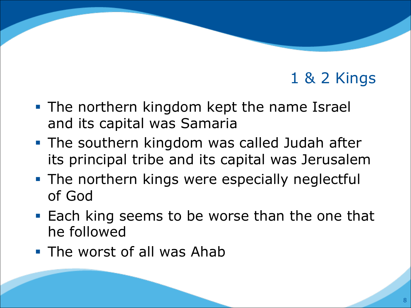- **The northern kingdom kept the name Israel** and its capital was Samaria
- The southern kingdom was called Judah after its principal tribe and its capital was Jerusalem
- The northern kings were especially neglectful of God
- Each king seems to be worse than the one that he followed
- The worst of all was Ahab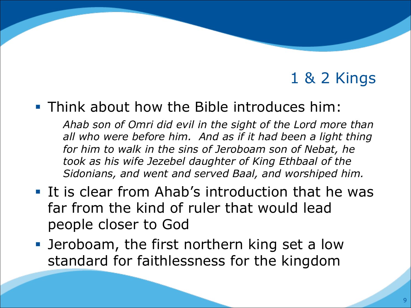#### § Think about how the Bible introduces him:

*Ahab son of Omri did evil in the sight of the Lord more than all who were before him. And as if it had been a light thing for him to walk in the sins of Jeroboam son of Nebat, he took as his wife Jezebel daughter of King Ethbaal of the Sidonians, and went and served Baal, and worshiped him.*

- § It is clear from Ahab's introduction that he was far from the kind of ruler that would lead people closer to God
- Jeroboam, the first northern king set a low standard for faithlessness for the kingdom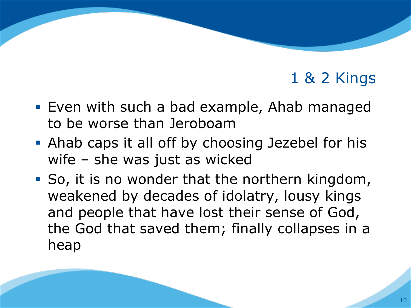- Even with such a bad example, Ahab managed to be worse than Jeroboam
- Ahab caps it all off by choosing Jezebel for his wife – she was just as wicked
- So, it is no wonder that the northern kingdom, weakened by decades of idolatry, lousy kings and people that have lost their sense of God, the God that saved them; finally collapses in a heap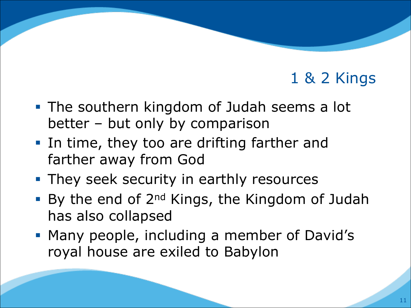- The southern kingdom of Judah seems a lot better – but only by comparison
- In time, they too are drifting farther and farther away from God
- **They seek security in earthly resources**
- By the end of 2<sup>nd</sup> Kings, the Kingdom of Judah has also collapsed
- § Many people, including a member of David's royal house are exiled to Babylon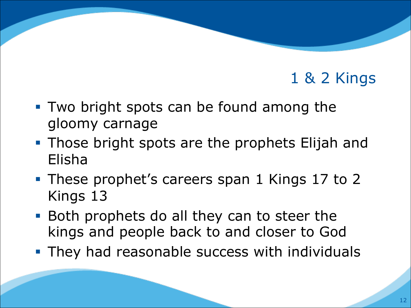- Two bright spots can be found among the gloomy carnage
- **Those bright spots are the prophets Elijah and** Elisha
- These prophet's careers span 1 Kings 17 to 2 Kings 13
- Both prophets do all they can to steer the kings and people back to and closer to God
- **They had reasonable success with individuals**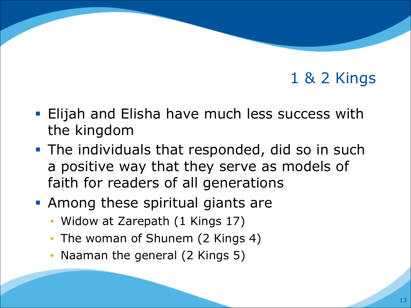- Elijah and Elisha have much less success with the kingdom
- **The individuals that responded, did so in such** a positive way that they serve as models of faith for readers of all generations
- **Among these spiritual giants are** 
	- Widow at Zarepath (1 Kings 17)
	- The woman of Shunem (2 Kings 4)
	- Naaman the general (2 Kings 5)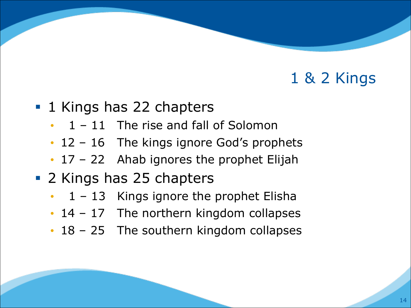- **1 Kings has 22 chapters** 
	- $\cdot$  1 11 The rise and fall of Solomon
	- 12 16 The kings ignore God's prophets
	- 17 22 Ahab ignores the prophet Elijah
- 2 Kings has 25 chapters
	- $1 13$  Kings ignore the prophet Elisha
	- 14 17 The northern kingdom collapses
	- 18 25 The southern kingdom collapses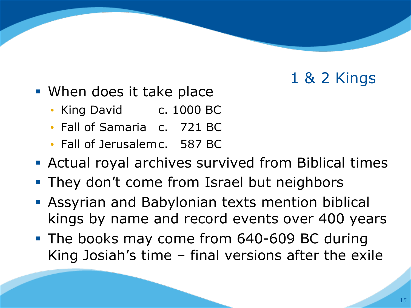- When does it take place
	- King David c. 1000 BC
	- Fall of Samaria c. 721 BC
	- Fall of Jerusalemc. 587 BC
- Actual royal archives survived from Biblical times
- They don't come from Israel but neighbors
- **Assyrian and Babylonian texts mention biblical** kings by name and record events over 400 years
- The books may come from 640-609 BC during King Josiah's time – final versions after the exile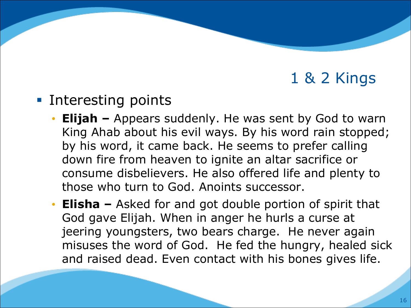- Interesting points
	- **Elijah –** Appears suddenly. He was sent by God to warn King Ahab about his evil ways. By his word rain stopped; by his word, it came back. He seems to prefer calling down fire from heaven to ignite an altar sacrifice or consume disbelievers. He also offered life and plenty to those who turn to God. Anoints successor.
	- **Elisha –** Asked for and got double portion of spirit that God gave Elijah. When in anger he hurls a curse at jeering youngsters, two bears charge. He never again misuses the word of God. He fed the hungry, healed sick and raised dead. Even contact with his bones gives life.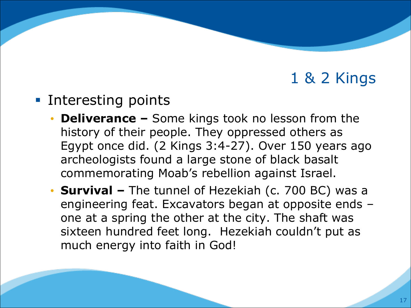- Interesting points
	- **Deliverance –** Some kings took no lesson from the history of their people. They oppressed others as Egypt once did. (2 Kings 3:4-27). Over 150 years ago archeologists found a large stone of black basalt commemorating Moab's rebellion against Israel.
	- **Survival –** The tunnel of Hezekiah (c. 700 BC) was a engineering feat. Excavators began at opposite ends – one at a spring the other at the city. The shaft was sixteen hundred feet long. Hezekiah couldn't put as much energy into faith in God!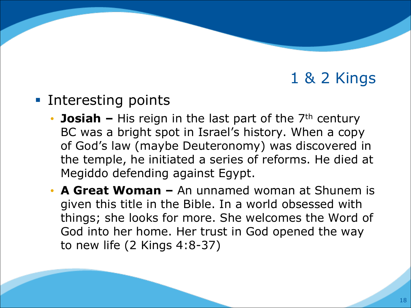#### ■ Interesting points

- **Josiah** His reign in the last part of the 7<sup>th</sup> century BC was a bright spot in Israel's history. When a copy of God's law (maybe Deuteronomy) was discovered in the temple, he initiated a series of reforms. He died at Megiddo defending against Egypt.
- **A Great Woman –** An unnamed woman at Shunem is given this title in the Bible. In a world obsessed with things; she looks for more. She welcomes the Word of God into her home. Her trust in God opened the way to new life (2 Kings 4:8-37)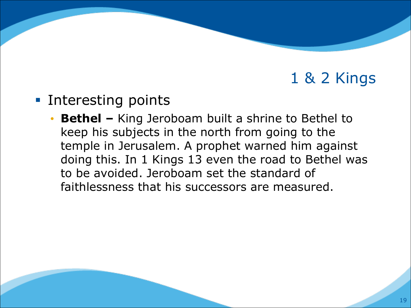- Interesting points
	- **Bethel –** King Jeroboam built a shrine to Bethel to keep his subjects in the north from going to the temple in Jerusalem. A prophet warned him against doing this. In 1 Kings 13 even the road to Bethel was to be avoided. Jeroboam set the standard of faithlessness that his successors are measured.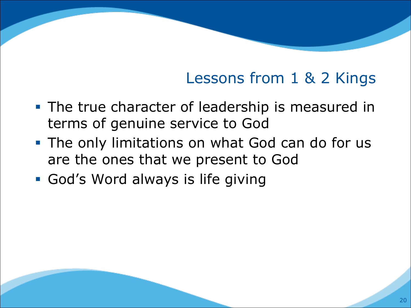# Lessons from 1 & 2 Kings

- **The true character of leadership is measured in** terms of genuine service to God
- **The only limitations on what God can do for us** are the ones that we present to God
- § God's Word always is life giving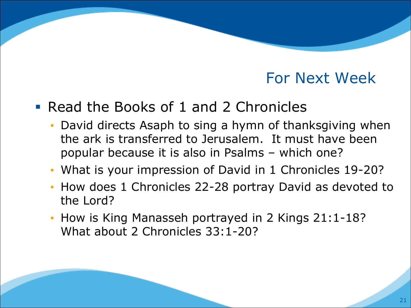#### For Next Week

#### § Read the Books of 1 and 2 Chronicles

- David directs Asaph to sing a hymn of thanksgiving when the ark is transferred to Jerusalem. It must have been popular because it is also in Psalms – which one?
- What is your impression of David in 1 Chronicles 19-20?
- How does 1 Chronicles 22-28 portray David as devoted to the Lord?
- How is King Manasseh portrayed in 2 Kings 21:1-18? What about 2 Chronicles 33:1-20?